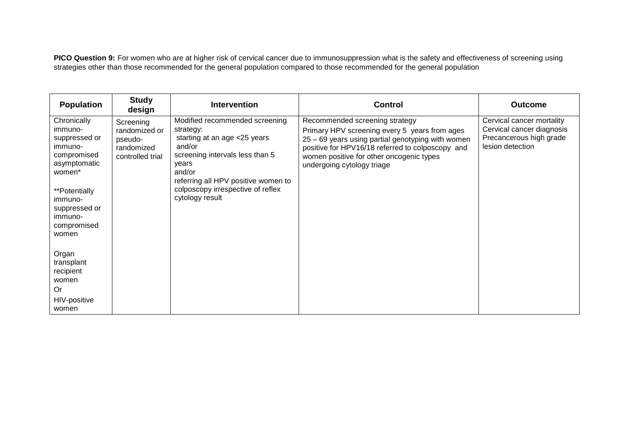**PICO Question 9:** For women who are at higher risk of cervical cancer due to immunosuppression what is the safety and effectiveness of screening using strategies other than those recommended for the general population compared to those recommended for the general population

| <b>Population</b>                                                                                                                                                           | <b>Study</b><br>design                                                  | <b>Intervention</b>                                                                                                                                                                                                                        | <b>Control</b>                                                                                                                                                                                                                                                     | <b>Outcome</b>                                                                                        |
|-----------------------------------------------------------------------------------------------------------------------------------------------------------------------------|-------------------------------------------------------------------------|--------------------------------------------------------------------------------------------------------------------------------------------------------------------------------------------------------------------------------------------|--------------------------------------------------------------------------------------------------------------------------------------------------------------------------------------------------------------------------------------------------------------------|-------------------------------------------------------------------------------------------------------|
| Chronically<br>immuno-<br>suppressed or<br>immuno-<br>compromised<br>asymptomatic<br>women*<br>**Potentially<br>immuno-<br>suppressed or<br>immuno-<br>compromised<br>women | Screening<br>randomized or<br>pseudo-<br>randomized<br>controlled trial | Modified recommended screening<br>strategy:<br>starting at an age <25 years<br>and/or<br>screening intervals less than 5<br>years<br>and/or<br>referring all HPV positive women to<br>colposcopy irrespective of reflex<br>cytology result | Recommended screening strategy<br>Primary HPV screening every 5 years from ages<br>25 - 69 years using partial genotyping with women<br>positive for HPV16/18 referred to colposcopy and<br>women positive for other oncogenic types<br>undergoing cytology triage | Cervical cancer mortality<br>Cervical cancer diagnosis<br>Precancerous high grade<br>lesion detection |
| Organ<br>transplant<br>recipient<br>women<br>Or<br>HIV-positive<br>women                                                                                                    |                                                                         |                                                                                                                                                                                                                                            |                                                                                                                                                                                                                                                                    |                                                                                                       |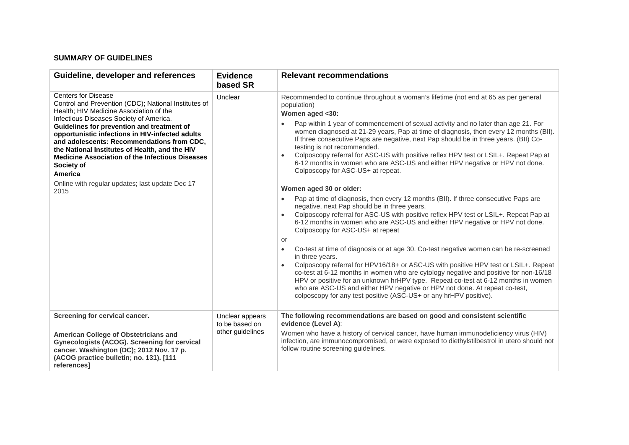# **SUMMARY OF GUIDELINES**

| Guideline, developer and references                                                                                                                                                                                                                                                                                                                                                                                                                                                                                            | <b>Evidence</b><br>based SR                           | <b>Relevant recommendations</b>                                                                                                                                                                                                                                                                                                                                                                                                                                                                                                                                                                                                                                                                                                                                                                                                                                                                                                                                                                                                                                                                                                                                                                                                                                                                                                                                                                                                                                                                                                                                                                                    |
|--------------------------------------------------------------------------------------------------------------------------------------------------------------------------------------------------------------------------------------------------------------------------------------------------------------------------------------------------------------------------------------------------------------------------------------------------------------------------------------------------------------------------------|-------------------------------------------------------|--------------------------------------------------------------------------------------------------------------------------------------------------------------------------------------------------------------------------------------------------------------------------------------------------------------------------------------------------------------------------------------------------------------------------------------------------------------------------------------------------------------------------------------------------------------------------------------------------------------------------------------------------------------------------------------------------------------------------------------------------------------------------------------------------------------------------------------------------------------------------------------------------------------------------------------------------------------------------------------------------------------------------------------------------------------------------------------------------------------------------------------------------------------------------------------------------------------------------------------------------------------------------------------------------------------------------------------------------------------------------------------------------------------------------------------------------------------------------------------------------------------------------------------------------------------------------------------------------------------------|
| <b>Centers for Disease</b><br>Control and Prevention (CDC); National Institutes of<br>Health; HIV Medicine Association of the<br>Infectious Diseases Society of America.<br>Guidelines for prevention and treatment of<br>opportunistic infections in HIV-infected adults<br>and adolescents: Recommendations from CDC,<br>the National Institutes of Health, and the HIV<br><b>Medicine Association of the Infectious Diseases</b><br>Society of<br><b>America</b><br>Online with regular updates; last update Dec 17<br>2015 | Unclear                                               | Recommended to continue throughout a woman's lifetime (not end at 65 as per general<br>population)<br>Women aged <30:<br>Pap within 1 year of commencement of sexual activity and no later than age 21. For<br>women diagnosed at 21-29 years, Pap at time of diagnosis, then every 12 months (BII).<br>If three consecutive Paps are negative, next Pap should be in three years. (BII) Co-<br>testing is not recommended.<br>Colposcopy referral for ASC-US with positive reflex HPV test or LSIL+. Repeat Pap at<br>$\bullet$<br>6-12 months in women who are ASC-US and either HPV negative or HPV not done.<br>Colposcopy for ASC-US+ at repeat.<br>Women aged 30 or older:<br>Pap at time of diagnosis, then every 12 months (BII). If three consecutive Paps are<br>$\bullet$<br>negative, next Pap should be in three years.<br>Colposcopy referral for ASC-US with positive reflex HPV test or LSIL+. Repeat Pap at<br>6-12 months in women who are ASC-US and either HPV negative or HPV not done.<br>Colposcopy for ASC-US+ at repeat<br>or<br>Co-test at time of diagnosis or at age 30. Co-test negative women can be re-screened<br>$\bullet$<br>in three years.<br>Colposcopy referral for HPV16/18+ or ASC-US with positive HPV test or LSIL+. Repeat<br>$\bullet$<br>co-test at 6-12 months in women who are cytology negative and positive for non-16/18<br>HPV or positive for an unknown hrHPV type. Repeat co-test at 6-12 months in women<br>who are ASC-US and either HPV negative or HPV not done. At repeat co-test,<br>colposcopy for any test positive (ASC-US+ or any hrHPV positive). |
| Screening for cervical cancer.<br>American College of Obstetricians and<br>Gynecologists (ACOG). Screening for cervical<br>cancer. Washington (DC); 2012 Nov. 17 p.<br>(ACOG practice bulletin; no. 131). [111<br>references]                                                                                                                                                                                                                                                                                                  | Unclear appears<br>to be based on<br>other guidelines | The following recommendations are based on good and consistent scientific<br>evidence (Level A):<br>Women who have a history of cervical cancer, have human immunodeficiency virus (HIV)<br>infection, are immunocompromised, or were exposed to diethylstilbestrol in utero should not<br>follow routine screening guidelines.                                                                                                                                                                                                                                                                                                                                                                                                                                                                                                                                                                                                                                                                                                                                                                                                                                                                                                                                                                                                                                                                                                                                                                                                                                                                                    |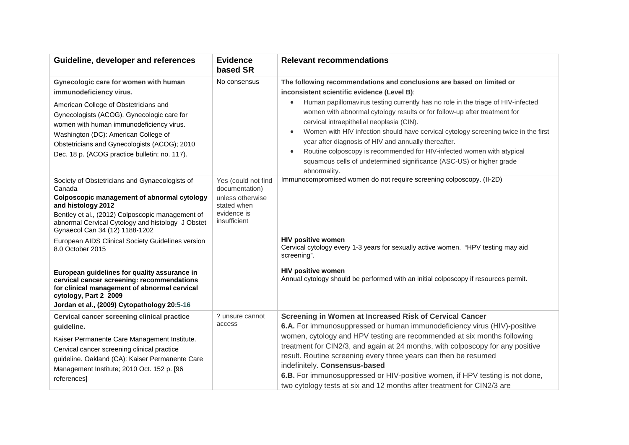| Guideline, developer and references                                                                                                                                                                                                                                                                                                          | <b>Evidence</b><br>based SR                                                                             | <b>Relevant recommendations</b>                                                                                                                                                                                                                                                                                                                                                                                                                                                                                                                                                                                                                                                            |
|----------------------------------------------------------------------------------------------------------------------------------------------------------------------------------------------------------------------------------------------------------------------------------------------------------------------------------------------|---------------------------------------------------------------------------------------------------------|--------------------------------------------------------------------------------------------------------------------------------------------------------------------------------------------------------------------------------------------------------------------------------------------------------------------------------------------------------------------------------------------------------------------------------------------------------------------------------------------------------------------------------------------------------------------------------------------------------------------------------------------------------------------------------------------|
| Gynecologic care for women with human<br>immunodeficiency virus.<br>American College of Obstetricians and<br>Gynecologists (ACOG). Gynecologic care for<br>women with human immunodeficiency virus.<br>Washington (DC): American College of<br>Obstetricians and Gynecologists (ACOG); 2010<br>Dec. 18 p. (ACOG practice bulletin; no. 117). | No consensus                                                                                            | The following recommendations and conclusions are based on limited or<br>inconsistent scientific evidence (Level B):<br>Human papillomavirus testing currently has no role in the triage of HIV-infected<br>$\bullet$<br>women with abnormal cytology results or for follow-up after treatment for<br>cervical intraepithelial neoplasia (CIN).<br>Women with HIV infection should have cervical cytology screening twice in the first<br>$\bullet$<br>year after diagnosis of HIV and annually thereafter.<br>Routine colposcopy is recommended for HIV-infected women with atypical<br>$\bullet$<br>squamous cells of undetermined significance (ASC-US) or higher grade<br>abnormality. |
| Society of Obstetricians and Gynaecologists of<br>Canada<br>Colposcopic management of abnormal cytology<br>and histology 2012<br>Bentley et al., (2012) Colposcopic management of<br>abnormal Cervical Cytology and histology J Obstet<br>Gynaecol Can 34 (12) 1188-1202                                                                     | Yes (could not find<br>documentation)<br>unless otherwise<br>stated when<br>evidence is<br>insufficient | Immunocompromised women do not require screening colposcopy. (II-2D)                                                                                                                                                                                                                                                                                                                                                                                                                                                                                                                                                                                                                       |
| European AIDS Clinical Society Guidelines version<br>8.0 October 2015                                                                                                                                                                                                                                                                        |                                                                                                         | <b>HIV positive women</b><br>Cervical cytology every 1-3 years for sexually active women. "HPV testing may aid<br>screening".                                                                                                                                                                                                                                                                                                                                                                                                                                                                                                                                                              |
| European guidelines for quality assurance in<br>cervical cancer screening: recommendations<br>for clinical management of abnormal cervical<br>cytology, Part 2 2009<br>Jordan et al., (2009) Cytopathology 20:5-16                                                                                                                           |                                                                                                         | <b>HIV positive women</b><br>Annual cytology should be performed with an initial colposcopy if resources permit.                                                                                                                                                                                                                                                                                                                                                                                                                                                                                                                                                                           |
| Cervical cancer screening clinical practice<br>guideline.<br>Kaiser Permanente Care Management Institute.<br>Cervical cancer screening clinical practice<br>guideline. Oakland (CA): Kaiser Permanente Care<br>Management Institute; 2010 Oct. 152 p. [96<br>references]                                                                     | ? unsure cannot<br>access                                                                               | Screening in Women at Increased Risk of Cervical Cancer<br>6.A. For immunosuppressed or human immunodeficiency virus (HIV)-positive<br>women, cytology and HPV testing are recommended at six months following<br>treatment for CIN2/3, and again at 24 months, with colposcopy for any positive<br>result. Routine screening every three years can then be resumed<br>indefinitely. Consensus-based<br>6.B. For immunosuppressed or HIV-positive women, if HPV testing is not done,<br>two cytology tests at six and 12 months after treatment for CIN2/3 are                                                                                                                             |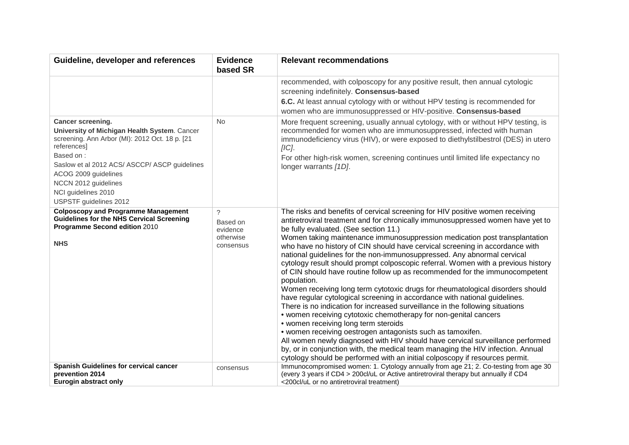| Guideline, developer and references                                                                                                                                                                                                                                                               | <b>Evidence</b><br>based SR                                | <b>Relevant recommendations</b>                                                                                                                                                                                                                                                                                                                                                                                                                                                                                                                                                                                                                                                                                                                                                                                                                                                                                                                                                                                                                                                                                                                                                                                                                                                                                       |
|---------------------------------------------------------------------------------------------------------------------------------------------------------------------------------------------------------------------------------------------------------------------------------------------------|------------------------------------------------------------|-----------------------------------------------------------------------------------------------------------------------------------------------------------------------------------------------------------------------------------------------------------------------------------------------------------------------------------------------------------------------------------------------------------------------------------------------------------------------------------------------------------------------------------------------------------------------------------------------------------------------------------------------------------------------------------------------------------------------------------------------------------------------------------------------------------------------------------------------------------------------------------------------------------------------------------------------------------------------------------------------------------------------------------------------------------------------------------------------------------------------------------------------------------------------------------------------------------------------------------------------------------------------------------------------------------------------|
|                                                                                                                                                                                                                                                                                                   |                                                            | recommended, with colposcopy for any positive result, then annual cytologic<br>screening indefinitely. Consensus-based<br>6.C. At least annual cytology with or without HPV testing is recommended for<br>women who are immunosuppressed or HIV-positive. Consensus-based                                                                                                                                                                                                                                                                                                                                                                                                                                                                                                                                                                                                                                                                                                                                                                                                                                                                                                                                                                                                                                             |
| Cancer screening.<br>University of Michigan Health System. Cancer<br>screening. Ann Arbor (MI): 2012 Oct. 18 p. [21<br>references]<br>Based on:<br>Saslow et al 2012 ACS/ ASCCP/ ASCP guidelines<br>ACOG 2009 guidelines<br>NCCN 2012 guidelines<br>NCI guidelines 2010<br>USPSTF guidelines 2012 | <b>No</b>                                                  | More frequent screening, usually annual cytology, with or without HPV testing, is<br>recommended for women who are immunosuppressed, infected with human<br>immunodeficiency virus (HIV), or were exposed to diethylstilbestrol (DES) in utero<br>$[IC]$ .<br>For other high-risk women, screening continues until limited life expectancy no<br>longer warrants [1D].                                                                                                                                                                                                                                                                                                                                                                                                                                                                                                                                                                                                                                                                                                                                                                                                                                                                                                                                                |
| <b>Colposcopy and Programme Management</b><br><b>Guidelines for the NHS Cervical Screening</b><br>Programme Second edition 2010<br><b>NHS</b>                                                                                                                                                     | $\gamma$<br>Based on<br>evidence<br>otherwise<br>consensus | The risks and benefits of cervical screening for HIV positive women receiving<br>antiretroviral treatment and for chronically immunosuppressed women have yet to<br>be fully evaluated. (See section 11.)<br>Women taking maintenance immunosuppression medication post transplantation<br>who have no history of CIN should have cervical screening in accordance with<br>national guidelines for the non-immunosuppressed. Any abnormal cervical<br>cytology result should prompt colposcopic referral. Women with a previous history<br>of CIN should have routine follow up as recommended for the immunocompetent<br>population.<br>Women receiving long term cytotoxic drugs for rheumatological disorders should<br>have regular cytological screening in accordance with national guidelines.<br>There is no indication for increased surveillance in the following situations<br>• women receiving cytotoxic chemotherapy for non-genital cancers<br>• women receiving long term steroids<br>• women receiving oestrogen antagonists such as tamoxifen.<br>All women newly diagnosed with HIV should have cervical surveillance performed<br>by, or in conjunction with, the medical team managing the HIV infection. Annual<br>cytology should be performed with an initial colposcopy if resources permit. |
| Spanish Guidelines for cervical cancer<br>prevention 2014<br>Eurogin abstract only                                                                                                                                                                                                                | consensus                                                  | Immunocompromised women: 1. Cytology annually from age 21; 2. Co-testing from age 30<br>(every 3 years if CD4 > 200cl/uL or Active antiretroviral therapy but annually if CD4<br><200cl/uL or no antiretroviral treatment)                                                                                                                                                                                                                                                                                                                                                                                                                                                                                                                                                                                                                                                                                                                                                                                                                                                                                                                                                                                                                                                                                            |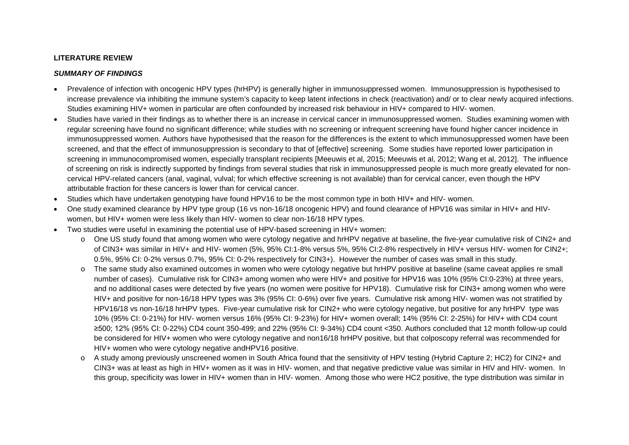# **LITERATURE REVIEW**

# *SUMMARY OF FINDINGS*

- Prevalence of infection with oncogenic HPV types (hrHPV) is generally higher in immunosuppressed women. Immunosuppression is hypothesised to increase prevalence via inhibiting the immune system's capacity to keep latent infections in check (reactivation) and/ or to clear newly acquired infections. Studies examining HIV+ women in particular are often confounded by increased risk behaviour in HIV+ compared to HIV- women.
- Studies have varied in their findings as to whether there is an increase in cervical cancer in immunosuppressed women. Studies examining women with regular screening have found no significant difference; while studies with no screening or infrequent screening have found higher cancer incidence in immunosuppressed women. Authors have hypothesised that the reason for the differences is the extent to which immunosuppressed women have been screened, and that the effect of immunosuppression is secondary to that of [effective] screening. Some studies have reported lower participation in screening in immunocompromised women, especially transplant recipients [Meeuwis et al, 2015; Meeuwis et al, 2012; Wang et al, 2012]. The influence of screening on risk is indirectly supported by findings from several studies that risk in immunosuppressed people is much more greatly elevated for noncervical HPV-related cancers (anal, vaginal, vulval; for which effective screening is not available) than for cervical cancer, even though the HPV attributable fraction for these cancers is lower than for cervical cancer.
- Studies which have undertaken genotyping have found HPV16 to be the most common type in both HIV+ and HIV- women.
- One study examined clearance by HPV type group (16 vs non-16/18 oncogenic HPV) and found clearance of HPV16 was similar in HIV+ and HIVwomen, but HIV+ women were less likely than HIV- women to clear non-16/18 HPV types.
- Two studies were useful in examining the potential use of HPV-based screening in HIV+ women:
	- o One US study found that among women who were cytology negative and hrHPV negative at baseline, the five-year cumulative risk of CIN2+ and of CIN3+ was similar in HIV+ and HIV- women (5%, 95% CI:1-8% versus 5%, 95% CI:2-8% respectively in HIV+ versus HIV- women for CIN2+; 0.5%, 95% CI: 0-2% versus 0.7%, 95% CI: 0-2% respectively for CIN3+). However the number of cases was small in this study.
	- o The same study also examined outcomes in women who were cytology negative but hrHPV positive at baseline (same caveat applies re small number of cases). Cumulative risk for CIN3+ among women who were HIV+ and positive for HPV16 was 10% (95% CI:0-23%) at three years, and no additional cases were detected by five years (no women were positive for HPV18). Cumulative risk for CIN3+ among women who were HIV+ and positive for non-16/18 HPV types was 3% (95% CI: 0-6%) over five years. Cumulative risk among HIV- women was not stratified by HPV16/18 vs non-16/18 hrHPV types. Five-year cumulative risk for CIN2+ who were cytology negative, but positive for any hrHPV type was 10% (95% CI: 0-21%) for HIV- women versus 16% (95% CI: 9-23%) for HIV+ women overall; 14% (95% CI: 2-25%) for HIV+ with CD4 count ≥500; 12% (95% CI: 0-22%) CD4 count 350-499; and 22% (95% CI: 9-34%) CD4 count <350. Authors concluded that 12 month follow-up could be considered for HIV+ women who were cytology negative and non16/18 hrHPV positive, but that colposcopy referral was recommended for HIV+ women who were cytology negative andHPV16 positive.
	- o A study among previously unscreened women in South Africa found that the sensitivity of HPV testing (Hybrid Capture 2; HC2) for CIN2+ and CIN3+ was at least as high in HIV+ women as it was in HIV- women, and that negative predictive value was similar in HIV and HIV- women. In this group, specificity was lower in HIV+ women than in HIV- women. Among those who were HC2 positive, the type distribution was similar in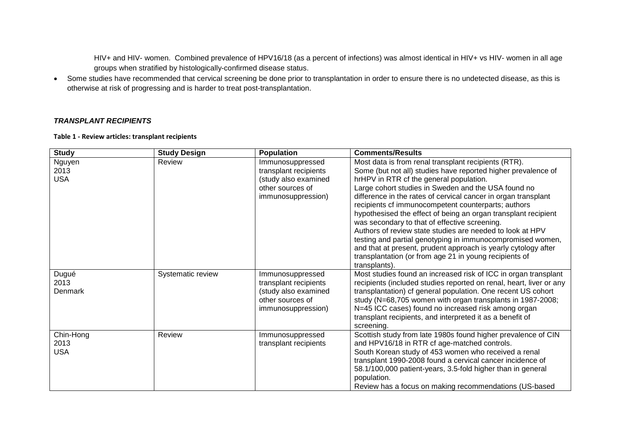HIV+ and HIV- women. Combined prevalence of HPV16/18 (as a percent of infections) was almost identical in HIV+ vs HIV- women in all age groups when stratified by histologically-confirmed disease status.

• Some studies have recommended that cervical screening be done prior to transplantation in order to ensure there is no undetected disease, as this is otherwise at risk of progressing and is harder to treat post-transplantation.

## *TRANSPLANT RECIPIENTS*

**Table 1 - Review articles: transplant recipients**

| <b>Study</b>    | <b>Study Design</b> | Population                                    | <b>Comments/Results</b>                                                                                                             |
|-----------------|---------------------|-----------------------------------------------|-------------------------------------------------------------------------------------------------------------------------------------|
| Nguyen          | Review              | Immunosuppressed                              | Most data is from renal transplant recipients (RTR).                                                                                |
| 2013            |                     | transplant recipients                         | Some (but not all) studies have reported higher prevalence of                                                                       |
| <b>USA</b>      |                     | (study also examined                          | hrHPV in RTR cf the general population.                                                                                             |
|                 |                     | other sources of                              | Large cohort studies in Sweden and the USA found no                                                                                 |
|                 |                     | immunosuppression)                            | difference in the rates of cervical cancer in organ transplant                                                                      |
|                 |                     |                                               | recipients cf immunocompetent counterparts; authors                                                                                 |
|                 |                     |                                               | hypothesised the effect of being an organ transplant recipient                                                                      |
|                 |                     |                                               | was secondary to that of effective screening.                                                                                       |
|                 |                     |                                               | Authors of review state studies are needed to look at HPV                                                                           |
|                 |                     |                                               | testing and partial genotyping in immunocompromised women,                                                                          |
|                 |                     |                                               | and that at present, prudent approach is yearly cytology after                                                                      |
|                 |                     |                                               | transplantation (or from age 21 in young recipients of                                                                              |
|                 |                     |                                               | transplants).                                                                                                                       |
| Dugué           | Systematic review   | Immunosuppressed                              | Most studies found an increased risk of ICC in organ transplant                                                                     |
| 2013<br>Denmark |                     | transplant recipients<br>(study also examined | recipients (included studies reported on renal, heart, liver or any<br>transplantation) cf general population. One recent US cohort |
|                 |                     | other sources of                              | study (N=68,705 women with organ transplants in 1987-2008;                                                                          |
|                 |                     | immunosuppression)                            | N=45 ICC cases) found no increased risk among organ                                                                                 |
|                 |                     |                                               | transplant recipients, and interpreted it as a benefit of                                                                           |
|                 |                     |                                               | screening.                                                                                                                          |
| Chin-Hong       | Review              | Immunosuppressed                              | Scottish study from late 1980s found higher prevalence of CIN                                                                       |
| 2013            |                     | transplant recipients                         | and HPV16/18 in RTR cf age-matched controls.                                                                                        |
| <b>USA</b>      |                     |                                               | South Korean study of 453 women who received a renal                                                                                |
|                 |                     |                                               | transplant 1990-2008 found a cervical cancer incidence of                                                                           |
|                 |                     |                                               | 58.1/100,000 patient-years, 3.5-fold higher than in general                                                                         |
|                 |                     |                                               | population.                                                                                                                         |
|                 |                     |                                               | Review has a focus on making recommendations (US-based                                                                              |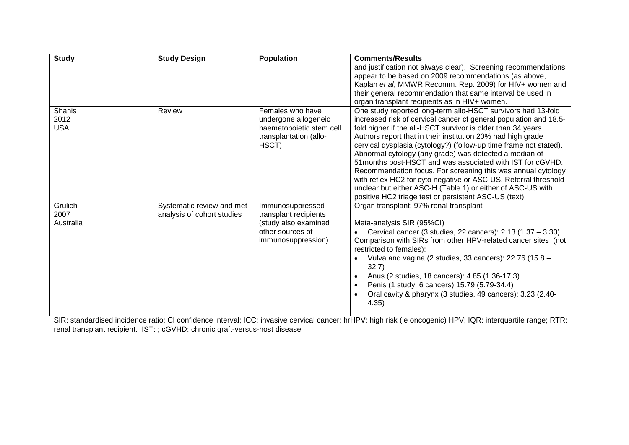| <b>Study</b> | <b>Study Design</b>        | <b>Population</b>        | <b>Comments/Results</b>                                                                                                     |
|--------------|----------------------------|--------------------------|-----------------------------------------------------------------------------------------------------------------------------|
|              |                            |                          | and justification not always clear). Screening recommendations                                                              |
|              |                            |                          | appear to be based on 2009 recommendations (as above,                                                                       |
|              |                            |                          | Kaplan et al, MMWR Recomm. Rep. 2009) for HIV+ women and                                                                    |
|              |                            |                          | their general recommendation that same interval be used in                                                                  |
|              |                            |                          | organ transplant recipients as in HIV+ women.                                                                               |
| Shanis       | Review                     | Females who have         | One study reported long-term allo-HSCT survivors had 13-fold                                                                |
| 2012         |                            | undergone allogeneic     | increased risk of cervical cancer cf general population and 18.5-                                                           |
| <b>USA</b>   |                            | haematopoietic stem cell | fold higher if the all-HSCT survivor is older than 34 years.                                                                |
|              |                            | transplantation (allo-   | Authors report that in their institution 20% had high grade                                                                 |
|              |                            | HSCT)                    | cervical dysplasia (cytology?) (follow-up time frame not stated).<br>Abnormal cytology (any grade) was detected a median of |
|              |                            |                          | 51 months post-HSCT and was associated with IST for cGVHD.                                                                  |
|              |                            |                          | Recommendation focus. For screening this was annual cytology                                                                |
|              |                            |                          | with reflex HC2 for cyto negative or ASC-US. Referral threshold                                                             |
|              |                            |                          | unclear but either ASC-H (Table 1) or either of ASC-US with                                                                 |
|              |                            |                          | positive HC2 triage test or persistent ASC-US (text)                                                                        |
| Grulich      | Systematic review and met- | Immunosuppressed         | Organ transplant: 97% renal transplant                                                                                      |
| 2007         | analysis of cohort studies | transplant recipients    |                                                                                                                             |
| Australia    |                            | (study also examined     | Meta-analysis SIR (95%CI)                                                                                                   |
|              |                            | other sources of         | Cervical cancer (3 studies, 22 cancers): $2.13$ (1.37 – 3.30)                                                               |
|              |                            | immunosuppression)       | Comparison with SIRs from other HPV-related cancer sites (not                                                               |
|              |                            |                          | restricted to females):                                                                                                     |
|              |                            |                          | Vulva and vagina (2 studies, 33 cancers): 22.76 (15.8 -                                                                     |
|              |                            |                          | 32.7)                                                                                                                       |
|              |                            |                          | Anus (2 studies, 18 cancers): 4.85 (1.36-17.3)                                                                              |
|              |                            |                          | Penis (1 study, 6 cancers): 15.79 (5.79-34.4)<br>$\bullet$                                                                  |
|              |                            |                          | Oral cavity & pharynx (3 studies, 49 cancers): 3.23 (2.40-<br>4.35)                                                         |
|              |                            |                          |                                                                                                                             |

SIR: standardised incidence ratio; CI confidence interval; ICC: invasive cervical cancer; hrHPV: high risk (ie oncogenic) HPV; IQR: interquartile range; RTR: renal transplant recipient. IST: ; cGVHD: chronic graft-versus-host disease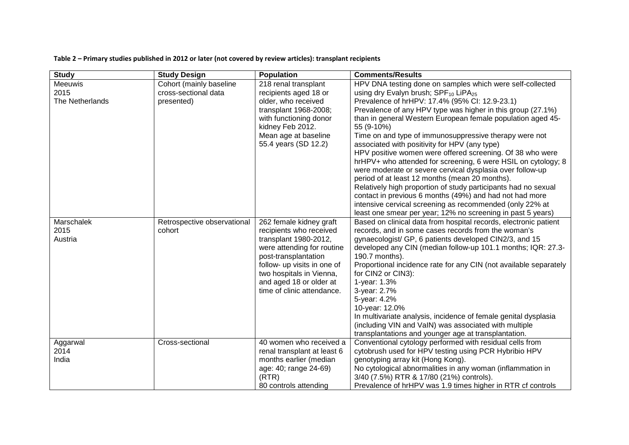**Table 2 – Primary studies published in 2012 or later (not covered by review articles): transplant recipients**

| <b>Study</b>    | <b>Study Design</b>         | <b>Population</b>           | <b>Comments/Results</b>                                           |
|-----------------|-----------------------------|-----------------------------|-------------------------------------------------------------------|
| <b>Meeuwis</b>  | Cohort (mainly baseline     | 218 renal transplant        | HPV DNA testing done on samples which were self-collected         |
| 2015            | cross-sectional data        | recipients aged 18 or       | using dry Evalyn brush; SPF <sub>10</sub> LiPA <sub>25</sub>      |
| The Netherlands | presented)                  | older, who received         | Prevalence of hrHPV: 17.4% (95% CI: 12.9-23.1)                    |
|                 |                             | transplant 1968-2008;       | Prevalence of any HPV type was higher in this group (27.1%)       |
|                 |                             | with functioning donor      | than in general Western European female population aged 45-       |
|                 |                             | kidney Feb 2012.            | 55 (9-10%)                                                        |
|                 |                             | Mean age at baseline        | Time on and type of immunosuppressive therapy were not            |
|                 |                             | 55.4 years (SD 12.2)        | associated with positivity for HPV (any type)                     |
|                 |                             |                             | HPV positive women were offered screening. Of 38 who were         |
|                 |                             |                             | hrHPV+ who attended for screening, 6 were HSIL on cytology; 8     |
|                 |                             |                             | were moderate or severe cervical dysplasia over follow-up         |
|                 |                             |                             | period of at least 12 months (mean 20 months).                    |
|                 |                             |                             | Relatively high proportion of study participants had no sexual    |
|                 |                             |                             | contact in previous 6 months (49%) and had not had more           |
|                 |                             |                             | intensive cervical screening as recommended (only 22% at          |
|                 |                             |                             | least one smear per year; 12% no screening in past 5 years)       |
| Marschalek      | Retrospective observational | 262 female kidney graft     | Based on clinical data from hospital records, electronic patient  |
| 2015            | cohort                      | recipients who received     | records, and in some cases records from the woman's               |
| Austria         |                             | transplant 1980-2012,       | gynaecologist/ GP, 6 patients developed CIN2/3, and 15            |
|                 |                             | were attending for routine  | developed any CIN (median follow-up 101.1 months; IQR: 27.3-      |
|                 |                             | post-transplantation        | 190.7 months).                                                    |
|                 |                             | follow- up visits in one of | Proportional incidence rate for any CIN (not available separately |
|                 |                             | two hospitals in Vienna,    | for CIN2 or CIN3):                                                |
|                 |                             | and aged 18 or older at     | 1-year: 1.3%                                                      |
|                 |                             | time of clinic attendance.  | 3-year: 2.7%                                                      |
|                 |                             |                             | 5-year: 4.2%                                                      |
|                 |                             |                             | 10-year: 12.0%                                                    |
|                 |                             |                             | In multivariate analysis, incidence of female genital dysplasia   |
|                 |                             |                             | (including VIN and VaIN) was associated with multiple             |
|                 |                             |                             | transplantations and younger age at transplantation.              |
| Aggarwal        | Cross-sectional             | 40 women who received a     | Conventional cytology performed with residual cells from          |
| 2014            |                             | renal transplant at least 6 | cytobrush used for HPV testing using PCR Hybribio HPV             |
| India           |                             | months earlier (median      | genotyping array kit (Hong Kong).                                 |
|                 |                             | age: 40; range 24-69)       | No cytological abnormalities in any woman (inflammation in        |
|                 |                             | (RTR)                       | 3/40 (7.5%) RTR & 17/80 (21%) controls).                          |
|                 |                             | 80 controls attending       | Prevalence of hrHPV was 1.9 times higher in RTR cf controls       |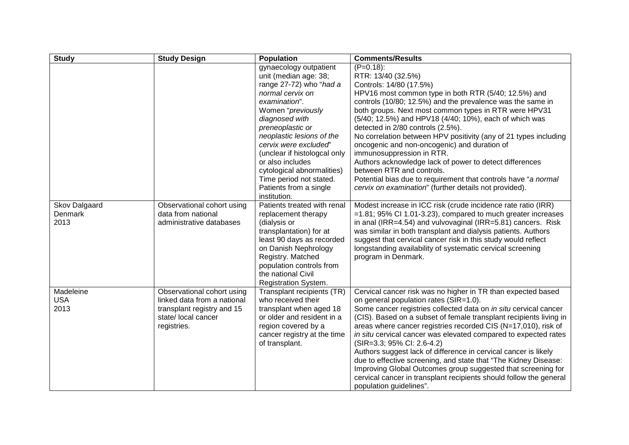| <b>Study</b>                            | <b>Study Design</b>                                                                                                           | <b>Population</b>                                                                                                                                                                                                                                                                                                                                                       | <b>Comments/Results</b>                                                                                                                                                                                                                                                                                                                                                                                                                                                                                                                                                                                                                                                                                                    |
|-----------------------------------------|-------------------------------------------------------------------------------------------------------------------------------|-------------------------------------------------------------------------------------------------------------------------------------------------------------------------------------------------------------------------------------------------------------------------------------------------------------------------------------------------------------------------|----------------------------------------------------------------------------------------------------------------------------------------------------------------------------------------------------------------------------------------------------------------------------------------------------------------------------------------------------------------------------------------------------------------------------------------------------------------------------------------------------------------------------------------------------------------------------------------------------------------------------------------------------------------------------------------------------------------------------|
|                                         |                                                                                                                               | gynaecology outpatient<br>unit (median age: 38;<br>range 27-72) who "had a<br>normal cervix on<br>examination".<br>Women "previously<br>diagnosed with<br>preneoplastic or<br>neoplastic lesions of the<br>cervix were excluded"<br>(unclear if histologcal only<br>or also includes<br>cytological abnormalities)<br>Time period not stated.<br>Patients from a single | $(P=0.18)$ :<br>RTR: 13/40 (32.5%)<br>Controls: 14/80 (17.5%)<br>HPV16 most common type in both RTR (5/40; 12.5%) and<br>controls (10/80; 12.5%) and the prevalence was the same in<br>both groups. Next most common types in RTR were HPV31<br>(5/40; 12.5%) and HPV18 (4/40; 10%), each of which was<br>detected in 2/80 controls (2.5%).<br>No correlation between HPV positivity (any of 21 types including<br>oncogenic and non-oncogenic) and duration of<br>immunosuppression in RTR.<br>Authors acknowledge lack of power to detect differences<br>between RTR and controls.<br>Potential bias due to requirement that controls have "a normal<br>cervix on examination" (further details not provided).           |
| Skov Dalgaard<br><b>Denmark</b><br>2013 | Observational cohort using<br>data from national<br>administrative databases                                                  | institution.<br>Patients treated with renal<br>replacement therapy<br>(dialysis or<br>transplantation) for at<br>least 90 days as recorded<br>on Danish Nephrology<br>Registry. Matched<br>population controls from<br>the national Civil<br>Registration System.                                                                                                       | Modest increase in ICC risk (crude incidence rate ratio (IRR)<br>$=1.81$ ; 95% CI 1.01-3.23), compared to much greater increases<br>in anal (IRR=4.54) and vulvovaginal (IRR=5.81) cancers. Risk<br>was similar in both transplant and dialysis patients. Authors<br>suggest that cervical cancer risk in this study would reflect<br>longstanding availability of systematic cervical screening<br>program in Denmark.                                                                                                                                                                                                                                                                                                    |
| Madeleine<br><b>USA</b><br>2013         | Observational cohort using<br>linked data from a national<br>transplant registry and 15<br>state/ local cancer<br>registries. | Transplant recipients (TR)<br>who received their<br>transplant when aged 18<br>or older and resident in a<br>region covered by a<br>cancer registry at the time<br>of transplant.                                                                                                                                                                                       | Cervical cancer risk was no higher in TR than expected based<br>on general population rates (SIR=1.0).<br>Some cancer registries collected data on in situ cervical cancer<br>(CIS). Based on a subset of female transplant recipients living in<br>areas where cancer registries recorded CIS (N=17,010), risk of<br>in situ cervical cancer was elevated compared to expected rates<br>(SIR=3.3; 95% CI: 2.6-4.2)<br>Authors suggest lack of difference in cervical cancer is likely<br>due to effective screening, and state that "The Kidney Disease:<br>Improving Global Outcomes group suggested that screening for<br>cervical cancer in transplant recipients should follow the general<br>population guidelines". |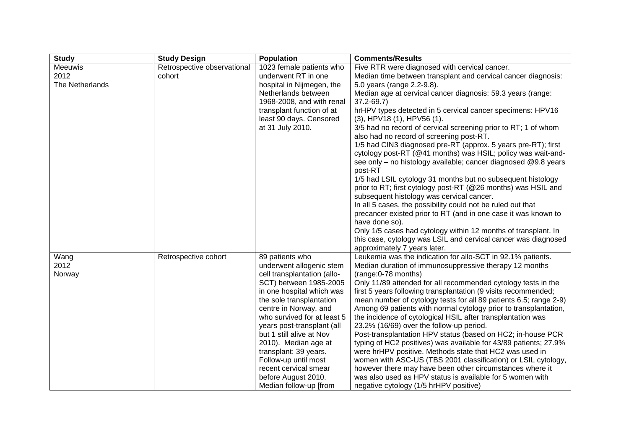| <b>Study</b>    | <b>Study Design</b>         | <b>Population</b>           | <b>Comments/Results</b>                                           |
|-----------------|-----------------------------|-----------------------------|-------------------------------------------------------------------|
| <b>Meeuwis</b>  | Retrospective observational | 1023 female patients who    | Five RTR were diagnosed with cervical cancer.                     |
| 2012            | cohort                      | underwent RT in one         | Median time between transplant and cervical cancer diagnosis:     |
| The Netherlands |                             | hospital in Nijmegen, the   | 5.0 years (range 2.2-9.8).                                        |
|                 |                             | Netherlands between         | Median age at cervical cancer diagnosis: 59.3 years (range:       |
|                 |                             | 1968-2008, and with renal   | $37.2 - 69.7$                                                     |
|                 |                             | transplant function of at   | hrHPV types detected in 5 cervical cancer specimens: HPV16        |
|                 |                             | least 90 days. Censored     | $(3)$ , HPV18 $(1)$ , HPV56 $(1)$ .                               |
|                 |                             | at 31 July 2010.            | 3/5 had no record of cervical screening prior to RT; 1 of whom    |
|                 |                             |                             | also had no record of screening post-RT.                          |
|                 |                             |                             | 1/5 had CIN3 diagnosed pre-RT (approx. 5 years pre-RT); first     |
|                 |                             |                             | cytology post-RT (@41 months) was HSIL; policy was wait-and-      |
|                 |                             |                             | see only - no histology available; cancer diagnosed @9.8 years    |
|                 |                             |                             | post-RT                                                           |
|                 |                             |                             | 1/5 had LSIL cytology 31 months but no subsequent histology       |
|                 |                             |                             | prior to RT; first cytology post-RT (@26 months) was HSIL and     |
|                 |                             |                             | subsequent histology was cervical cancer.                         |
|                 |                             |                             | In all 5 cases, the possibility could not be ruled out that       |
|                 |                             |                             | precancer existed prior to RT (and in one case it was known to    |
|                 |                             |                             | have done so).                                                    |
|                 |                             |                             | Only 1/5 cases had cytology within 12 months of transplant. In    |
|                 |                             |                             | this case, cytology was LSIL and cervical cancer was diagnosed    |
|                 |                             |                             | approximately 7 years later.                                      |
| Wang            | Retrospective cohort        | 89 patients who             | Leukemia was the indication for allo-SCT in 92.1% patients.       |
| 2012            |                             | underwent allogenic stem    | Median duration of immunosuppressive therapy 12 months            |
| Norway          |                             | cell transplantation (allo- | (range: 0-78 months)                                              |
|                 |                             | SCT) between 1985-2005      | Only 11/89 attended for all recommended cytology tests in the     |
|                 |                             | in one hospital which was   | first 5 years following transplantation (9 visits recommended;    |
|                 |                             | the sole transplantation    | mean number of cytology tests for all 89 patients 6.5; range 2-9) |
|                 |                             | centre in Norway, and       | Among 69 patients with normal cytology prior to transplantation,  |
|                 |                             | who survived for at least 5 | the incidence of cytological HSIL after transplantation was       |
|                 |                             | years post-transplant (all  | 23.2% (16/69) over the follow-up period.                          |
|                 |                             | but 1 still alive at Nov    | Post-transplantation HPV status (based on HC2; in-house PCR       |
|                 |                             | 2010). Median age at        | typing of HC2 positives) was available for 43/89 patients; 27.9%  |
|                 |                             | transplant: 39 years.       | were hrHPV positive. Methods state that HC2 was used in           |
|                 |                             | Follow-up until most        | women with ASC-US (TBS 2001 classification) or LSIL cytology,     |
|                 |                             | recent cervical smear       | however there may have been other circumstances where it          |
|                 |                             | before August 2010.         | was also used as HPV status is available for 5 women with         |
|                 |                             | Median follow-up [from      | negative cytology (1/5 hrHPV positive)                            |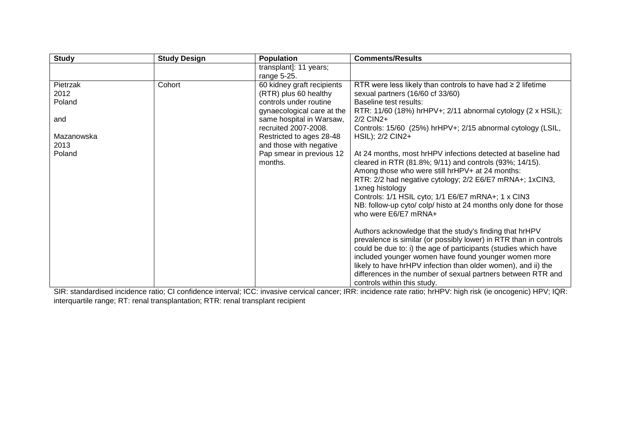| <b>Study</b> | <b>Study Design</b> | <b>Population</b>          | <b>Comments/Results</b>                                           |
|--------------|---------------------|----------------------------|-------------------------------------------------------------------|
|              |                     | transplant]: 11 years;     |                                                                   |
|              |                     | range 5-25.                |                                                                   |
| Pietrzak     | Cohort              | 60 kidney graft recipients | RTR were less likely than controls to have had $\geq 2$ lifetime  |
| 2012         |                     | (RTR) plus 60 healthy      | sexual partners (16/60 cf 33/60)                                  |
| Poland       |                     | controls under routine     | Baseline test results:                                            |
|              |                     | gynaecological care at the | RTR: 11/60 (18%) hrHPV+; 2/11 abnormal cytology (2 x HSIL);       |
| and          |                     | same hospital in Warsaw,   | 2/2 CIN2+                                                         |
|              |                     | recruited 2007-2008.       | Controls: 15/60 (25%) hrHPV+; 2/15 abnormal cytology (LSIL,       |
| Mazanowska   |                     | Restricted to ages 28-48   | HSIL); 2/2 CIN2+                                                  |
| 2013         |                     | and those with negative    |                                                                   |
| Poland       |                     | Pap smear in previous 12   | At 24 months, most hrHPV infections detected at baseline had      |
|              |                     | months.                    | cleared in RTR (81.8%; 9/11) and controls (93%; 14/15).           |
|              |                     |                            | Among those who were still hrHPV+ at 24 months:                   |
|              |                     |                            | RTR: 2/2 had negative cytology; 2/2 E6/E7 mRNA+; 1xClN3,          |
|              |                     |                            | 1xneg histology                                                   |
|              |                     |                            | Controls: 1/1 HSIL cyto; 1/1 E6/E7 mRNA+; 1 x CIN3                |
|              |                     |                            | NB: follow-up cyto/ colp/ histo at 24 months only done for those  |
|              |                     |                            | who were E6/E7 mRNA+                                              |
|              |                     |                            |                                                                   |
|              |                     |                            | Authors acknowledge that the study's finding that hrHPV           |
|              |                     |                            | prevalence is similar (or possibly lower) in RTR than in controls |
|              |                     |                            | could be due to: i) the age of participants (studies which have   |
|              |                     |                            | included younger women have found younger women more              |
|              |                     |                            | likely to have hrHPV infection than older women), and ii) the     |
|              |                     |                            | differences in the number of sexual partners between RTR and      |
|              |                     |                            | controls within this study.                                       |

SIR: standardised incidence ratio; CI confidence interval; ICC: invasive cervical cancer; IRR: incidence rate ratio; hrHPV: high risk (ie oncogenic) HPV; IQR: interquartile range; RT: renal transplantation; RTR: renal transplant recipient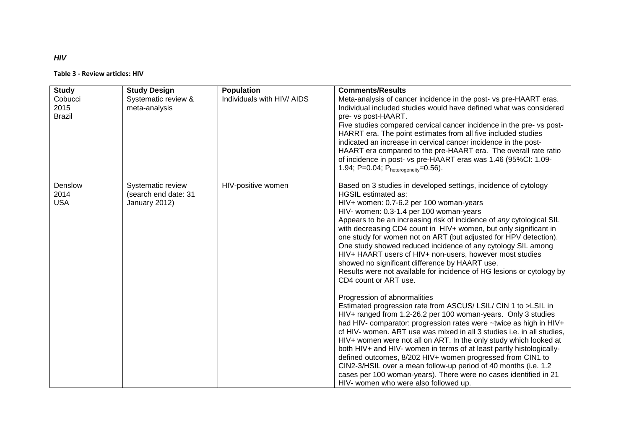#### **Table 3 - Review articles: HIV**

| <b>Study</b>                     | <b>Study Design</b>                                        | <b>Population</b>          | <b>Comments/Results</b>                                                                                                                                                                                                                                                                                                                                                                                                                                                                                                                                                                                                                                                                                                                                                                                                                                                                                                                                                                                                                                                                                                                                                                                                                                                                                                                                                                           |
|----------------------------------|------------------------------------------------------------|----------------------------|---------------------------------------------------------------------------------------------------------------------------------------------------------------------------------------------------------------------------------------------------------------------------------------------------------------------------------------------------------------------------------------------------------------------------------------------------------------------------------------------------------------------------------------------------------------------------------------------------------------------------------------------------------------------------------------------------------------------------------------------------------------------------------------------------------------------------------------------------------------------------------------------------------------------------------------------------------------------------------------------------------------------------------------------------------------------------------------------------------------------------------------------------------------------------------------------------------------------------------------------------------------------------------------------------------------------------------------------------------------------------------------------------|
| Cobucci<br>2015<br><b>Brazil</b> | Systematic review &<br>meta-analysis                       | Individuals with HIV/ AIDS | Meta-analysis of cancer incidence in the post- vs pre-HAART eras.<br>Individual included studies would have defined what was considered<br>pre- vs post-HAART.<br>Five studies compared cervical cancer incidence in the pre-vs post-<br>HARRT era. The point estimates from all five included studies<br>indicated an increase in cervical cancer incidence in the post-<br>HAART era compared to the pre-HAART era. The overall rate ratio<br>of incidence in post- vs pre-HAART eras was 1.46 (95%CI: 1.09-<br>1.94; P=0.04; $P_{heterogeneity}=0.56$ ).                                                                                                                                                                                                                                                                                                                                                                                                                                                                                                                                                                                                                                                                                                                                                                                                                                       |
| Denslow<br>2014<br><b>USA</b>    | Systematic review<br>(search end date: 31<br>January 2012) | HIV-positive women         | Based on 3 studies in developed settings, incidence of cytology<br><b>HGSIL estimated as:</b><br>HIV+ women: 0.7-6.2 per 100 woman-years<br>HIV- women: 0.3-1.4 per 100 woman-years<br>Appears to be an increasing risk of incidence of any cytological SIL<br>with decreasing CD4 count in HIV+ women, but only significant in<br>one study for women not on ART (but adjusted for HPV detection).<br>One study showed reduced incidence of any cytology SIL among<br>HIV+ HAART users cf HIV+ non-users, however most studies<br>showed no significant difference by HAART use.<br>Results were not available for incidence of HG lesions or cytology by<br>CD4 count or ART use.<br>Progression of abnormalities<br>Estimated progression rate from ASCUS/ LSIL/ CIN 1 to >LSIL in<br>HIV+ ranged from 1.2-26.2 per 100 woman-years. Only 3 studies<br>had HIV- comparator: progression rates were ~twice as high in HIV+<br>cf HIV- women. ART use was mixed in all 3 studies i.e. in all studies,<br>HIV+ women were not all on ART. In the only study which looked at<br>both HIV+ and HIV- women in terms of at least partly histologically-<br>defined outcomes, 8/202 HIV+ women progressed from CIN1 to<br>CIN2-3/HSIL over a mean follow-up period of 40 months (i.e. 1.2<br>cases per 100 woman-years). There were no cases identified in 21<br>HIV- women who were also followed up. |

*HIV*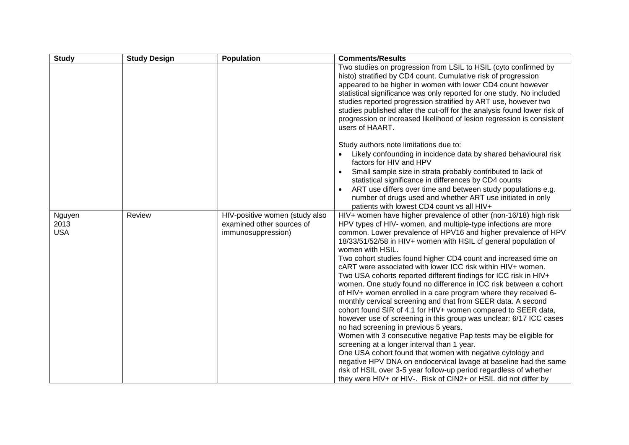| <b>Study</b>                 | <b>Study Design</b> | <b>Population</b>                                                                 | <b>Comments/Results</b>                                                                                                                                                                                                                                                                                                                                                                                                                                                                                                                                                                                                                                                                                                                                                                                                                                                                                                                                                                                                                                                                                                                                                                                                                                                               |
|------------------------------|---------------------|-----------------------------------------------------------------------------------|---------------------------------------------------------------------------------------------------------------------------------------------------------------------------------------------------------------------------------------------------------------------------------------------------------------------------------------------------------------------------------------------------------------------------------------------------------------------------------------------------------------------------------------------------------------------------------------------------------------------------------------------------------------------------------------------------------------------------------------------------------------------------------------------------------------------------------------------------------------------------------------------------------------------------------------------------------------------------------------------------------------------------------------------------------------------------------------------------------------------------------------------------------------------------------------------------------------------------------------------------------------------------------------|
|                              |                     |                                                                                   | Two studies on progression from LSIL to HSIL (cyto confirmed by<br>histo) stratified by CD4 count. Cumulative risk of progression<br>appeared to be higher in women with lower CD4 count however<br>statistical significance was only reported for one study. No included<br>studies reported progression stratified by ART use, however two<br>studies published after the cut-off for the analysis found lower risk of<br>progression or increased likelihood of lesion regression is consistent<br>users of HAART.                                                                                                                                                                                                                                                                                                                                                                                                                                                                                                                                                                                                                                                                                                                                                                 |
|                              |                     |                                                                                   | Study authors note limitations due to:<br>Likely confounding in incidence data by shared behavioural risk<br>factors for HIV and HPV                                                                                                                                                                                                                                                                                                                                                                                                                                                                                                                                                                                                                                                                                                                                                                                                                                                                                                                                                                                                                                                                                                                                                  |
|                              |                     |                                                                                   | Small sample size in strata probably contributed to lack of<br>statistical significance in differences by CD4 counts<br>ART use differs over time and between study populations e.g.<br>number of drugs used and whether ART use initiated in only<br>patients with lowest CD4 count vs all HIV+                                                                                                                                                                                                                                                                                                                                                                                                                                                                                                                                                                                                                                                                                                                                                                                                                                                                                                                                                                                      |
| Nguyen<br>2013<br><b>USA</b> | Review              | HIV-positive women (study also<br>examined other sources of<br>immunosuppression) | HIV+ women have higher prevalence of other (non-16/18) high risk<br>HPV types cf HIV- women, and multiple-type infections are more<br>common. Lower prevalence of HPV16 and higher prevalence of HPV<br>18/33/51/52/58 in HIV+ women with HSIL cf general population of<br>women with HSIL.<br>Two cohort studies found higher CD4 count and increased time on<br>cART were associated with lower ICC risk within HIV+ women.<br>Two USA cohorts reported different findings for ICC risk in HIV+<br>women. One study found no difference in ICC risk between a cohort<br>of HIV+ women enrolled in a care program where they received 6-<br>monthly cervical screening and that from SEER data. A second<br>cohort found SIR of 4.1 for HIV+ women compared to SEER data,<br>however use of screening in this group was unclear: 6/17 ICC cases<br>no had screening in previous 5 years.<br>Women with 3 consecutive negative Pap tests may be eligible for<br>screening at a longer interval than 1 year.<br>One USA cohort found that women with negative cytology and<br>negative HPV DNA on endocervical lavage at baseline had the same<br>risk of HSIL over 3-5 year follow-up period regardless of whether<br>they were HIV+ or HIV-. Risk of CIN2+ or HSIL did not differ by |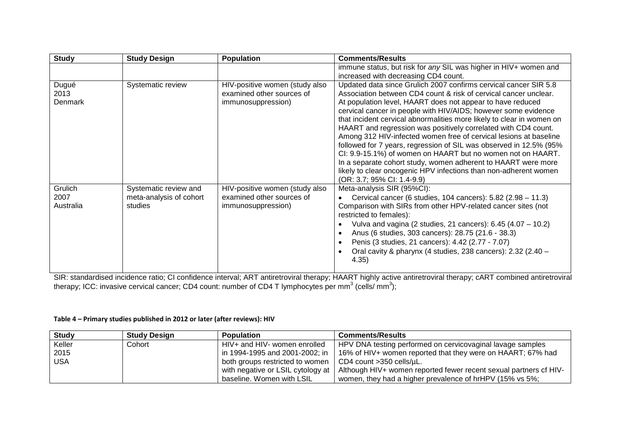| <b>Study</b>                 | <b>Study Design</b>                                         | <b>Population</b>                                                                 | <b>Comments/Results</b>                                                                                                                                                                                                                                                                                                                                                                                                                                                                                                                                                                                                                                                                                                                                                                      |
|------------------------------|-------------------------------------------------------------|-----------------------------------------------------------------------------------|----------------------------------------------------------------------------------------------------------------------------------------------------------------------------------------------------------------------------------------------------------------------------------------------------------------------------------------------------------------------------------------------------------------------------------------------------------------------------------------------------------------------------------------------------------------------------------------------------------------------------------------------------------------------------------------------------------------------------------------------------------------------------------------------|
|                              |                                                             |                                                                                   | immune status, but risk for any SIL was higher in HIV+ women and                                                                                                                                                                                                                                                                                                                                                                                                                                                                                                                                                                                                                                                                                                                             |
|                              |                                                             |                                                                                   | increased with decreasing CD4 count.                                                                                                                                                                                                                                                                                                                                                                                                                                                                                                                                                                                                                                                                                                                                                         |
| Dugué<br>2013<br>Denmark     | Systematic review                                           | HIV-positive women (study also<br>examined other sources of<br>immunosuppression) | Updated data since Grulich 2007 confirms cervical cancer SIR 5.8<br>Association between CD4 count & risk of cervical cancer unclear.<br>At population level, HAART does not appear to have reduced<br>cervical cancer in people with HIV/AIDS; however some evidence<br>that incident cervical abnormalities more likely to clear in women on<br>HAART and regression was positively correlated with CD4 count.<br>Among 312 HIV-infected women free of cervical lesions at baseline<br>followed for 7 years, regression of SIL was observed in 12.5% (95%<br>CI: 9.9-15.1%) of women on HAART but no women not on HAART.<br>In a separate cohort study, women adherent to HAART were more<br>likely to clear oncogenic HPV infections than non-adherent women<br>(OR: 3.7; 95% CI: 1.4-9.9) |
| Grulich<br>2007<br>Australia | Systematic review and<br>meta-analysis of cohort<br>studies | HIV-positive women (study also<br>examined other sources of<br>immunosuppression) | Meta-analysis SIR (95%CI):<br>Cervical cancer (6 studies, 104 cancers): 5.82 (2.98 - 11.3)<br>Comparison with SIRs from other HPV-related cancer sites (not<br>restricted to females):<br>Vulva and vagina (2 studies, 21 cancers): $6.45$ (4.07 - 10.2)<br>Anus (6 studies, 303 cancers): 28.75 (21.6 - 38.3)<br>Penis (3 studies, 21 cancers): 4.42 (2.77 - 7.07)<br>Oral cavity & pharynx (4 studies, 238 cancers): 2.32 (2.40 -<br>4.35)                                                                                                                                                                                                                                                                                                                                                 |

SIR: standardised incidence ratio; CI confidence interval; ART antiretroviral therapy; HAART highly active antiretroviral therapy; cART combined antiretroviral therapy; ICC: invasive cervical cancer; CD4 count: number of CD4 T lymphocytes per mm $^3$  (cells/ mm $^3$ );

## **Table 4 – Primary studies published in 2012 or later (after reviews): HIV**

| <b>Study</b> | <b>Study Design</b> | <b>Population</b>                 | <b>Comments/Results</b>                                           |  |
|--------------|---------------------|-----------------------------------|-------------------------------------------------------------------|--|
| Keller       | Cohort              | HIV+ and HIV- women enrolled      | HPV DNA testing performed on cervicovaginal lavage samples        |  |
| 2015         |                     | in 1994-1995 and 2001-2002; in    | 16% of HIV+ women reported that they were on HAART; 67% had       |  |
| <b>USA</b>   |                     | both groups restricted to women   | $\vert$ CD4 count >350 cells/ $\mu$ L.                            |  |
|              |                     | with negative or LSIL cytology at | Although HIV+ women reported fewer recent sexual partners of HIV- |  |
|              |                     | baseline. Women with LSIL         | women, they had a higher prevalence of hrHPV (15% vs 5%;          |  |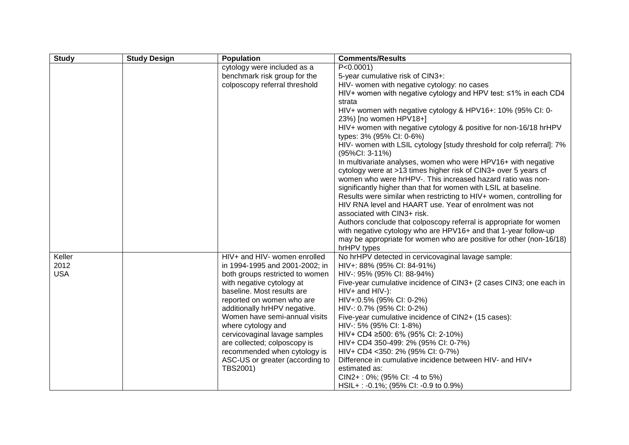| <b>Study</b>   | <b>Study Design</b> | Population                                                | <b>Comments/Results</b>                                               |
|----------------|---------------------|-----------------------------------------------------------|-----------------------------------------------------------------------|
|                |                     | cytology were included as a                               | $P < 0.0001$ )                                                        |
|                |                     | benchmark risk group for the                              | 5-year cumulative risk of CIN3+:                                      |
|                |                     | colposcopy referral threshold                             | HIV- women with negative cytology: no cases                           |
|                |                     |                                                           | HIV+ women with negative cytology and HPV test: ≤1% in each CD4       |
|                |                     |                                                           | strata                                                                |
|                |                     |                                                           | HIV+ women with negative cytology & HPV16+: 10% (95% CI: 0-           |
|                |                     |                                                           | 23%) [no women HPV18+]                                                |
|                |                     |                                                           | HIV+ women with negative cytology & positive for non-16/18 hrHPV      |
|                |                     |                                                           | types: 3% (95% CI: 0-6%)                                              |
|                |                     |                                                           | HIV- women with LSIL cytology [study threshold for colp referral]: 7% |
|                |                     |                                                           | (95%CI: 3-11%)                                                        |
|                |                     |                                                           | In multivariate analyses, women who were HPV16+ with negative         |
|                |                     |                                                           | cytology were at >13 times higher risk of CIN3+ over 5 years cf       |
|                |                     |                                                           | women who were hrHPV-. This increased hazard ratio was non-           |
|                |                     |                                                           | significantly higher than that for women with LSIL at baseline.       |
|                |                     |                                                           | Results were similar when restricting to HIV+ women, controlling for  |
|                |                     |                                                           | HIV RNA level and HAART use. Year of enrolment was not                |
|                |                     |                                                           | associated with CIN3+ risk.                                           |
|                |                     |                                                           | Authors conclude that colposcopy referral is appropriate for women    |
|                |                     |                                                           | with negative cytology who are HPV16+ and that 1-year follow-up       |
|                |                     |                                                           | may be appropriate for women who are positive for other (non-16/18)   |
|                |                     |                                                           | hrHPV types                                                           |
| Keller<br>2012 |                     | HIV+ and HIV- women enrolled                              | No hrHPV detected in cervicovaginal lavage sample:                    |
| <b>USA</b>     |                     | in 1994-1995 and 2001-2002; in                            | HIV+: 88% (95% CI: 84-91%)                                            |
|                |                     | both groups restricted to women                           | HIV-: 95% (95% CI: 88-94%)                                            |
|                |                     | with negative cytology at                                 | Five-year cumulative incidence of CIN3+ (2 cases CIN3; one each in    |
|                |                     | baseline. Most results are                                | HIV+ and HIV-):                                                       |
|                |                     | reported on women who are<br>additionally hrHPV negative. | HIV+:0.5% (95% CI: 0-2%)<br>HIV-: 0.7% (95% CI: 0-2%)                 |
|                |                     | Women have semi-annual visits                             | Five-year cumulative incidence of CIN2+ (15 cases):                   |
|                |                     | where cytology and                                        | HIV-: 5% (95% CI: 1-8%)                                               |
|                |                     | cervicovaginal lavage samples                             | HIV+ CD4 ≥500: 6% (95% CI: 2-10%)                                     |
|                |                     | are collected; colposcopy is                              | HIV+ CD4 350-499: 2% (95% CI: 0-7%)                                   |
|                |                     | recommended when cytology is                              | HIV+ CD4 <350: 2% (95% CI: 0-7%)                                      |
|                |                     | ASC-US or greater (according to                           | Difference in cumulative incidence between HIV- and HIV+              |
|                |                     | TBS2001)                                                  | estimated as:                                                         |
|                |                     |                                                           | CIN2+: 0%; (95% CI: -4 to 5%)                                         |
|                |                     |                                                           | HSIL+: -0.1%; (95% CI: -0.9 to 0.9%)                                  |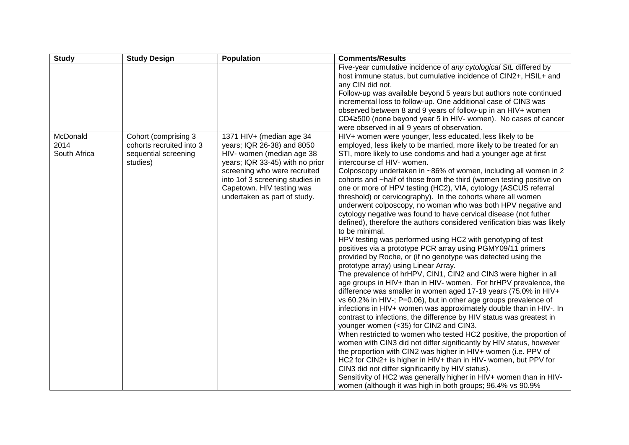| <b>Study</b> | <b>Study Design</b>      | <b>Population</b>                | <b>Comments/Results</b>                                                                                                    |
|--------------|--------------------------|----------------------------------|----------------------------------------------------------------------------------------------------------------------------|
|              |                          |                                  | Five-year cumulative incidence of any cytological SIL differed by                                                          |
|              |                          |                                  | host immune status, but cumulative incidence of CIN2+, HSIL+ and                                                           |
|              |                          |                                  | any CIN did not.                                                                                                           |
|              |                          |                                  | Follow-up was available beyond 5 years but authors note continued                                                          |
|              |                          |                                  | incremental loss to follow-up. One additional case of CIN3 was                                                             |
|              |                          |                                  | observed between 8 and 9 years of follow-up in an HIV+ women                                                               |
|              |                          |                                  | CD4≥500 (none beyond year 5 in HIV- women). No cases of cancer                                                             |
|              |                          |                                  | were observed in all 9 years of observation.                                                                               |
| McDonald     | Cohort (comprising 3     | 1371 HIV+ (median age 34         | HIV+ women were younger, less educated, less likely to be                                                                  |
| 2014         | cohorts recruited into 3 | years; IQR 26-38) and 8050       | employed, less likely to be married, more likely to be treated for an                                                      |
| South Africa | sequential screening     | HIV- women (median age 38        | STI, more likely to use condoms and had a younger age at first                                                             |
|              | studies)                 | years; IQR 33-45) with no prior  | intercourse cf HIV- women.                                                                                                 |
|              |                          | screening who were recruited     | Colposcopy undertaken in ~86% of women, including all women in 2                                                           |
|              |                          | into 1 of 3 screening studies in | cohorts and ~half of those from the third (women testing positive on                                                       |
|              |                          | Capetown. HIV testing was        | one or more of HPV testing (HC2), VIA, cytology (ASCUS referral                                                            |
|              |                          | undertaken as part of study.     | threshold) or cervicography). In the cohorts where all women                                                               |
|              |                          |                                  | underwent colposcopy, no woman who was both HPV negative and                                                               |
|              |                          |                                  | cytology negative was found to have cervical disease (not futher                                                           |
|              |                          |                                  | defined), therefore the authors considered verification bias was likely                                                    |
|              |                          |                                  | to be minimal.                                                                                                             |
|              |                          |                                  | HPV testing was performed using HC2 with genotyping of test<br>positives via a prototype PCR array using PGMY09/11 primers |
|              |                          |                                  | provided by Roche, or (if no genotype was detected using the                                                               |
|              |                          |                                  | prototype array) using Linear Array.                                                                                       |
|              |                          |                                  | The prevalence of hrHPV, CIN1, CIN2 and CIN3 were higher in all                                                            |
|              |                          |                                  | age groups in HIV+ than in HIV- women. For hrHPV prevalence, the                                                           |
|              |                          |                                  | difference was smaller in women aged 17-19 years (75.0% in HIV+                                                            |
|              |                          |                                  | vs 60.2% in HIV-; P=0.06), but in other age groups prevalence of                                                           |
|              |                          |                                  | infections in HIV+ women was approximately double than in HIV-. In                                                         |
|              |                          |                                  | contrast to infections, the difference by HIV status was greatest in                                                       |
|              |                          |                                  | younger women (<35) for CIN2 and CIN3.                                                                                     |
|              |                          |                                  | When restricted to women who tested HC2 positive, the proportion of                                                        |
|              |                          |                                  | women with CIN3 did not differ significantly by HIV status, however                                                        |
|              |                          |                                  | the proportion with CIN2 was higher in HIV+ women (i.e. PPV of                                                             |
|              |                          |                                  | HC2 for CIN2+ is higher in HIV+ than in HIV- women, but PPV for                                                            |
|              |                          |                                  | CIN3 did not differ significantly by HIV status).                                                                          |
|              |                          |                                  | Sensitivity of HC2 was generally higher in HIV+ women than in HIV-                                                         |
|              |                          |                                  | women (although it was high in both groups; 96.4% vs 90.9%                                                                 |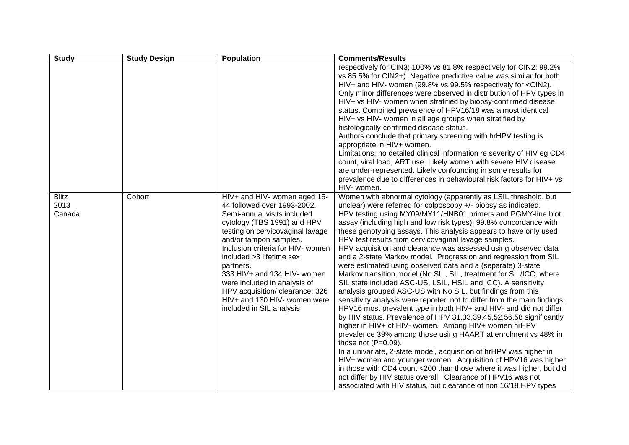| <b>Study</b>                   | <b>Study Design</b> | <b>Population</b>                                                                                                                                                                                                                                                                                                                                                                                                                    | <b>Comments/Results</b>                                                                                                                                                                                                                                                                                                                                                                                                                                                                                                                                                                                                                                                                                                                                                                                                                                                                                                                                                                                                                                                                                                                                                                                                                                                                                                                                                                                                                                                                                                                     |
|--------------------------------|---------------------|--------------------------------------------------------------------------------------------------------------------------------------------------------------------------------------------------------------------------------------------------------------------------------------------------------------------------------------------------------------------------------------------------------------------------------------|---------------------------------------------------------------------------------------------------------------------------------------------------------------------------------------------------------------------------------------------------------------------------------------------------------------------------------------------------------------------------------------------------------------------------------------------------------------------------------------------------------------------------------------------------------------------------------------------------------------------------------------------------------------------------------------------------------------------------------------------------------------------------------------------------------------------------------------------------------------------------------------------------------------------------------------------------------------------------------------------------------------------------------------------------------------------------------------------------------------------------------------------------------------------------------------------------------------------------------------------------------------------------------------------------------------------------------------------------------------------------------------------------------------------------------------------------------------------------------------------------------------------------------------------|
|                                |                     |                                                                                                                                                                                                                                                                                                                                                                                                                                      | respectively for CIN3; 100% vs 81.8% respectively for CIN2; 99.2%<br>vs 85.5% for CIN2+). Negative predictive value was similar for both<br>HIV+ and HIV- women (99.8% vs 99.5% respectively for <cin2).<br>Only minor differences were observed in distribution of HPV types in<br/>HIV+ vs HIV- women when stratified by biopsy-confirmed disease<br/>status. Combined prevalence of HPV16/18 was almost identical<br/>HIV+ vs HIV- women in all age groups when stratified by<br/>histologically-confirmed disease status.<br/>Authors conclude that primary screening with hrHPV testing is<br/>appropriate in HIV+ women.<br/>Limitations: no detailed clinical information re severity of HIV eg CD4<br/>count, viral load, ART use. Likely women with severe HIV disease<br/>are under-represented. Likely confounding in some results for<br/>prevalence due to differences in behavioural risk factors for HIV+ vs<br/>HIV- women.</cin2).<br>                                                                                                                                                                                                                                                                                                                                                                                                                                                                                                                                                                                     |
| <b>Blitz</b><br>2013<br>Canada | Cohort              | HIV+ and HIV- women aged 15-<br>44 followed over 1993-2002.<br>Semi-annual visits included<br>cytology (TBS 1991) and HPV<br>testing on cervicovaginal lavage<br>and/or tampon samples.<br>Inclusion criteria for HIV- women<br>included > 3 lifetime sex<br>partners.<br>333 HIV+ and 134 HIV- women<br>were included in analysis of<br>HPV acquisition/ clearance; 326<br>HIV+ and 130 HIV- women were<br>included in SIL analysis | Women with abnormal cytology (apparently as LSIL threshold, but<br>unclear) were referred for colposcopy +/- biopsy as indicated.<br>HPV testing using MY09/MY11/HNB01 primers and PGMY-line blot<br>assay (including high and low risk types); 99.8% concordance with<br>these genotyping assays. This analysis appears to have only used<br>HPV test results from cervicovaginal lavage samples.<br>HPV acquisition and clearance was assessed using observed data<br>and a 2-state Markov model. Progression and regression from SIL<br>were estimated using observed data and a (separate) 3-state<br>Markov transition model (No SIL, SIL, treatment for SIL/ICC, where<br>SIL state included ASC-US, LSIL, HSIL and ICC). A sensitivity<br>analysis grouped ASC-US with No SIL, but findings from this<br>sensitivity analysis were reported not to differ from the main findings.<br>HPV16 most prevalent type in both HIV+ and HIV- and did not differ<br>by HIV status. Prevalence of HPV 31,33,39,45,52,56,58 significantly<br>higher in HIV+ cf HIV- women. Among HIV+ women hrHPV<br>prevalence 39% among those using HAART at enrolment vs 48% in<br>those not $(P=0.09)$ .<br>In a univariate, 2-state model, acquisition of hrHPV was higher in<br>HIV+ women and younger women. Acquisition of HPV16 was higher<br>in those with CD4 count <200 than those where it was higher, but did<br>not differ by HIV status overall. Clearance of HPV16 was not<br>associated with HIV status, but clearance of non 16/18 HPV types |